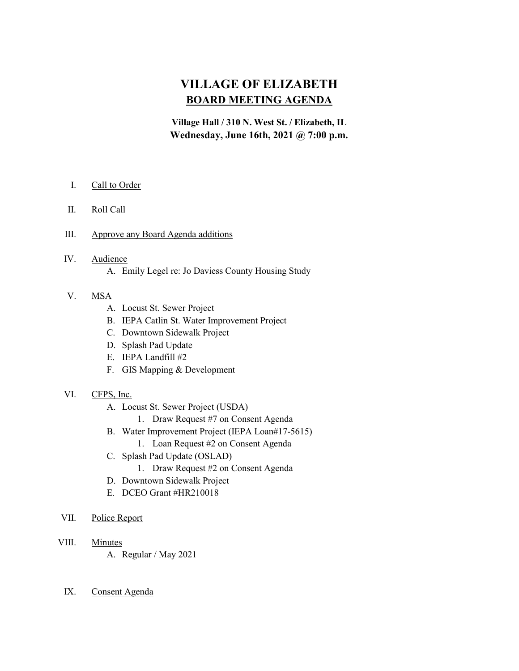# VILLAGE OF ELIZABETH BOARD MEETING AGENDA

Village Hall / 310 N. West St. / Elizabeth, IL Wednesday, June 16th, 2021 @ 7:00 p.m.

- I. Call to Order
- II. Roll Call
- III. Approve any Board Agenda additions
- IV. Audience
	- A. Emily Legel re: Jo Daviess County Housing Study

## V. MSA

- A. Locust St. Sewer Project
- B. IEPA Catlin St. Water Improvement Project
- C. Downtown Sidewalk Project
- D. Splash Pad Update
- E. IEPA Landfill #2
- F. GIS Mapping & Development
- VI. CFPS, Inc.
	- A. Locust St. Sewer Project (USDA)
		- 1. Draw Request #7 on Consent Agenda
	- B. Water Improvement Project (IEPA Loan#17-5615)
		- 1. Loan Request #2 on Consent Agenda
	- C. Splash Pad Update (OSLAD)
		- 1. Draw Request #2 on Consent Agenda
	- D. Downtown Sidewalk Project
	- E. DCEO Grant #HR210018
- VII. Police Report
- VIII. Minutes
	- A. Regular / May 2021
	- IX. Consent Agenda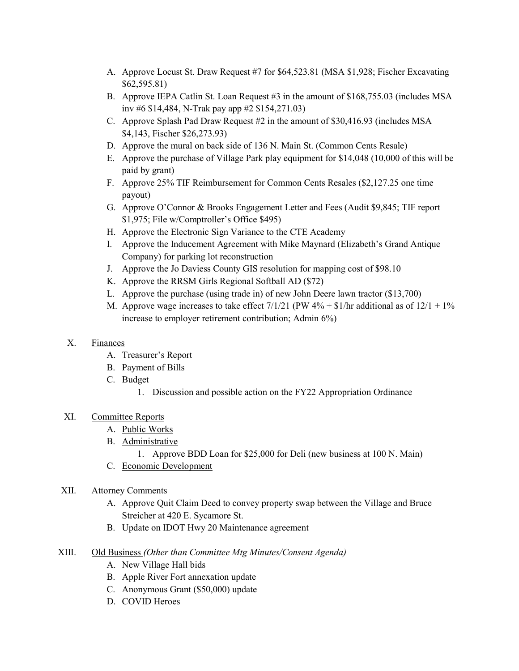- A. Approve Locust St. Draw Request #7 for \$64,523.81 (MSA \$1,928; Fischer Excavating \$62,595.81)
- B. Approve IEPA Catlin St. Loan Request #3 in the amount of \$168,755.03 (includes MSA inv #6 \$14,484, N-Trak pay app #2 \$154,271.03)
- C. Approve Splash Pad Draw Request #2 in the amount of \$30,416.93 (includes MSA \$4,143, Fischer \$26,273.93)
- D. Approve the mural on back side of 136 N. Main St. (Common Cents Resale)
- E. Approve the purchase of Village Park play equipment for \$14,048 (10,000 of this will be paid by grant)
- F. Approve 25% TIF Reimbursement for Common Cents Resales (\$2,127.25 one time payout)
- G. Approve O'Connor & Brooks Engagement Letter and Fees (Audit \$9,845; TIF report \$1,975; File w/Comptroller's Office \$495)
- H. Approve the Electronic Sign Variance to the CTE Academy
- I. Approve the Inducement Agreement with Mike Maynard (Elizabeth's Grand Antique Company) for parking lot reconstruction
- J. Approve the Jo Daviess County GIS resolution for mapping cost of \$98.10
- K. Approve the RRSM Girls Regional Softball AD (\$72)
- L. Approve the purchase (using trade in) of new John Deere lawn tractor (\$13,700)
- M. Approve wage increases to take effect  $7/1/21$  (PW  $4\%$  + \$1/hr additional as of  $12/1 + 1\%$ increase to employer retirement contribution; Admin 6%)

#### X. Finances

- A. Treasurer's Report
- B. Payment of Bills
- C. Budget
	- 1. Discussion and possible action on the FY22 Appropriation Ordinance

## XI. Committee Reports

- A. Public Works
- B. Administrative
	- 1. Approve BDD Loan for \$25,000 for Deli (new business at 100 N. Main)
- C. Economic Development

#### XII. Attorney Comments

- A. Approve Quit Claim Deed to convey property swap between the Village and Bruce Streicher at 420 E. Sycamore St.
- B. Update on IDOT Hwy 20 Maintenance agreement
- XIII. Old Business (Other than Committee Mtg Minutes/Consent Agenda)
	- A. New Village Hall bids
	- B. Apple River Fort annexation update
	- C. Anonymous Grant (\$50,000) update
	- D. COVID Heroes